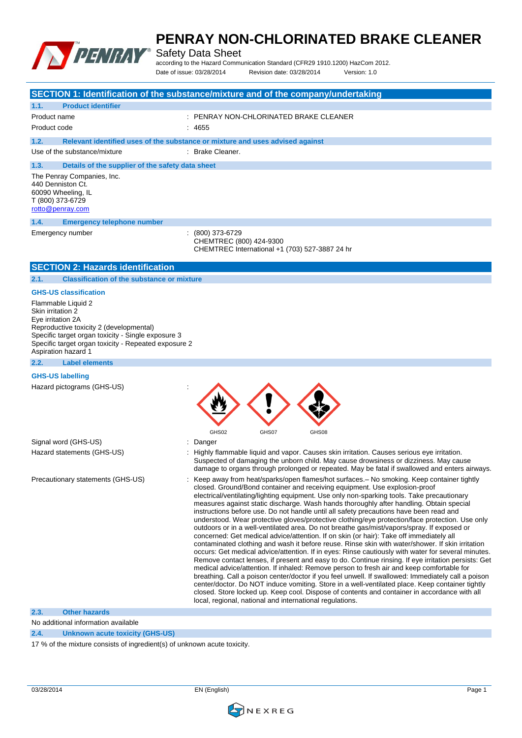

Safety Data Sheet

according to the Hazard Communication Standard (CFR29 1910.1200) HazCom 2012. Date of issue: 03/28/2014 Revision date: 03/28/2014 Version: 1.0

|                                                                                               | SECTION 1: Identification of the substance/mixture and of the company/undertaking                                                                                                                |
|-----------------------------------------------------------------------------------------------|--------------------------------------------------------------------------------------------------------------------------------------------------------------------------------------------------|
| <b>Product identifier</b><br>1.1.                                                             |                                                                                                                                                                                                  |
| Product name                                                                                  | PENRAY NON-CHLORINATED BRAKE CLEANER                                                                                                                                                             |
| Product code                                                                                  | : 4655                                                                                                                                                                                           |
| 1.2.                                                                                          | Relevant identified uses of the substance or mixture and uses advised against                                                                                                                    |
| Use of the substance/mixture                                                                  | : Brake Cleaner.                                                                                                                                                                                 |
|                                                                                               |                                                                                                                                                                                                  |
| Details of the supplier of the safety data sheet<br>1.3.<br>The Penray Companies, Inc.        |                                                                                                                                                                                                  |
| 440 Denniston Ct.                                                                             |                                                                                                                                                                                                  |
| 60090 Wheeling, IL                                                                            |                                                                                                                                                                                                  |
| T (800) 373-6729<br>rotto@penray.com                                                          |                                                                                                                                                                                                  |
|                                                                                               |                                                                                                                                                                                                  |
| 1.4.<br><b>Emergency telephone number</b>                                                     |                                                                                                                                                                                                  |
| Emergency number                                                                              | (800) 373-6729<br>CHEMTREC (800) 424-9300                                                                                                                                                        |
|                                                                                               | CHEMTREC International +1 (703) 527-3887 24 hr                                                                                                                                                   |
| <b>SECTION 2: Hazards identification</b>                                                      |                                                                                                                                                                                                  |
| 2.1.<br><b>Classification of the substance or mixture</b>                                     |                                                                                                                                                                                                  |
| <b>GHS-US classification</b>                                                                  |                                                                                                                                                                                                  |
| Flammable Liquid 2                                                                            |                                                                                                                                                                                                  |
| Skin irritation 2                                                                             |                                                                                                                                                                                                  |
| Eye irritation 2A                                                                             |                                                                                                                                                                                                  |
| Reproductive toxicity 2 (developmental)<br>Specific target organ toxicity - Single exposure 3 |                                                                                                                                                                                                  |
| Specific target organ toxicity - Repeated exposure 2                                          |                                                                                                                                                                                                  |
| Aspiration hazard 1                                                                           |                                                                                                                                                                                                  |
| <b>Label elements</b><br>2.2.                                                                 |                                                                                                                                                                                                  |
| <b>GHS-US labelling</b>                                                                       |                                                                                                                                                                                                  |
| Hazard pictograms (GHS-US)                                                                    |                                                                                                                                                                                                  |
|                                                                                               |                                                                                                                                                                                                  |
|                                                                                               |                                                                                                                                                                                                  |
|                                                                                               |                                                                                                                                                                                                  |
|                                                                                               | GHS02<br>GHS07<br>GHS08                                                                                                                                                                          |
| Signal word (GHS-US)<br>÷                                                                     | Danger                                                                                                                                                                                           |
| Hazard statements (GHS-US)                                                                    | Highly flammable liquid and vapor. Causes skin irritation. Causes serious eye irritation.                                                                                                        |
|                                                                                               | Suspected of damaging the unborn child. May cause drowsiness or dizziness. May cause<br>damage to organs through prolonged or repeated. May be fatal if swallowed and enters airways.            |
| Precautionary statements (GHS-US)                                                             | Keep away from heat/sparks/open flames/hot surfaces.- No smoking. Keep container tightly                                                                                                         |
|                                                                                               | closed. Ground/Bond container and receiving equipment. Use explosion-proof                                                                                                                       |
|                                                                                               | electrical/ventilating/lighting equipment. Use only non-sparking tools. Take precautionary<br>measures against static discharge. Wash hands thoroughly after handling. Obtain special            |
|                                                                                               | instructions before use. Do not handle until all safety precautions have been read and                                                                                                           |
|                                                                                               | understood. Wear protective gloves/protective clothing/eye protection/face protection. Use only                                                                                                  |
|                                                                                               | outdoors or in a well-ventilated area. Do not breathe gas/mist/vapors/spray. If exposed or<br>concerned: Get medical advice/attention. If on skin (or hair): Take off immediately all            |
|                                                                                               | contaminated clothing and wash it before reuse. Rinse skin with water/shower. If skin irritation                                                                                                 |
|                                                                                               | occurs: Get medical advice/attention. If in eyes: Rinse cautiously with water for several minutes.                                                                                               |
|                                                                                               | Remove contact lenses, if present and easy to do. Continue rinsing. If eye irritation persists: Get<br>medical advice/attention. If inhaled: Remove person to fresh air and keep comfortable for |
|                                                                                               | breathing. Call a poison center/doctor if you feel unwell. If swallowed: Immediately call a poison                                                                                               |
|                                                                                               | center/doctor. Do NOT induce vomiting. Store in a well-ventilated place. Keep container tightly                                                                                                  |
|                                                                                               | closed. Store locked up. Keep cool. Dispose of contents and container in accordance with all<br>local, regional, national and international regulations.                                         |
| 2.3.<br><b>Other hazards</b>                                                                  |                                                                                                                                                                                                  |
| No additional information available                                                           |                                                                                                                                                                                                  |
| 2.4.<br><b>Unknown acute toxicity (GHS-US)</b>                                                |                                                                                                                                                                                                  |
| 17 % of the mixture consists of ingredient(s) of unknown acute toxicity.                      |                                                                                                                                                                                                  |

03/28/2014 EN (English) Page 1

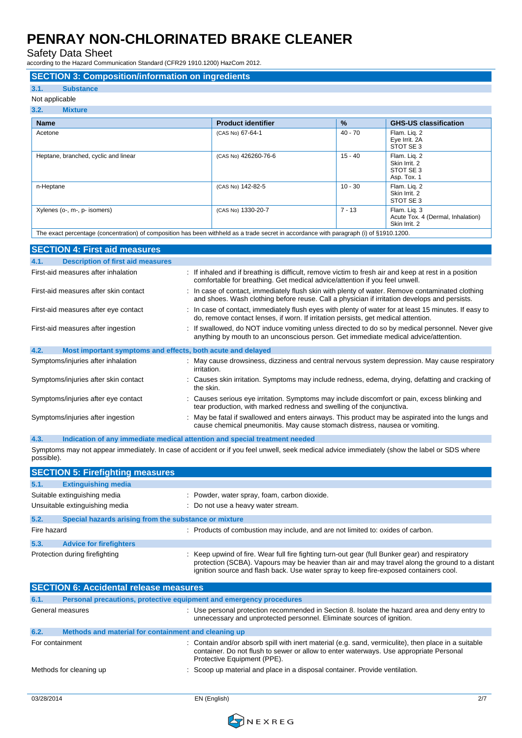Safety Data Sheet

according to the Hazard Communication Standard (CFR29 1910.1200) HazCom 2012.

#### **SECTION 3: Composition/information on ingredients**

### **3.1. Substance**

Not applicable

| 3.2.<br><b>Mixture</b>                                                                                                                  |                           |           |                                                                    |
|-----------------------------------------------------------------------------------------------------------------------------------------|---------------------------|-----------|--------------------------------------------------------------------|
| <b>Name</b>                                                                                                                             | <b>Product identifier</b> | $\%$      | <b>GHS-US classification</b>                                       |
| Acetone                                                                                                                                 | (CAS No) 67-64-1          | $40 - 70$ | Flam. Lig. 2<br>Eye Irrit. 2A<br>STOT SE 3                         |
| Heptane, branched, cyclic and linear                                                                                                    | (CAS No) 426260-76-6      | $15 - 40$ | Flam. Lig. 2<br>Skin Irrit. 2<br>STOT SE 3<br>Asp. Tox. 1          |
| n-Heptane                                                                                                                               | (CAS No) 142-82-5         | $10 - 30$ | Flam. Lig. 2<br>Skin Irrit. 2<br>STOT SE3                          |
| Xylenes (o-, m-, p- isomers)                                                                                                            | (CAS No) 1330-20-7        | $7 - 13$  | Flam. Lig. 3<br>Acute Tox. 4 (Dermal, Inhalation)<br>Skin Irrit. 2 |
| The exact percentage (concentration) of composition has been withheld as a trade secret in accordance with paragraph (i) of §1910.1200. |                           |           |                                                                    |

**SECTION 4: First aid measures 4.1. Description of first aid measures** First-aid measures after inhalation : If inhaled and if breathing is difficult, remove victim to fresh air and keep at rest in a position comfortable for breathing. Get medical advice/attention if you feel unwell. First-aid measures after skin contact : In case of contact, immediately flush skin with plenty of water. Remove contaminated clothing and shoes. Wash clothing before reuse. Call a physician if irritation develops and persists. First-aid measures after eye contact : In case of contact, immediately flush eyes with plenty of water for at least 15 minutes. If easy to do, remove contact lenses, if worn. If irritation persists, get medical attention. First-aid measures after ingestion : If swallowed, do NOT induce vomiting unless directed to do so by medical personnel. Never give anything by mouth to an unconscious person. Get immediate medical advice/attention. **4.2. Most important symptoms and effects, both acute and delayed** Symptoms/injuries after inhalation : May cause drowsiness, dizziness and central nervous system depression. May cause respiratory irritation. Symptoms/injuries after skin contact : Causes skin irritation. Symptoms may include redness, edema, drying, defatting and cracking of the skin. Symptoms/injuries after eye contact : Causes serious eye irritation. Symptoms may include discomfort or pain, excess blinking and tear production, with marked redness and swelling of the conjunctiva. Symptoms/injuries after ingestion : May be fatal if swallowed and enters airways. This product may be aspirated into the lungs and cause chemical pneumonitis. May cause stomach distress, nausea or vomiting.

**4.3. Indication of any immediate medical attention and special treatment needed** Symptoms may not appear immediately. In case of accident or if you feel unwell, seek medical advice immediately (show the label or SDS where possible).

|             | <b>SECTION 5: Firefighting measures</b>               |                                                                                                                                                                                                                                                                                             |
|-------------|-------------------------------------------------------|---------------------------------------------------------------------------------------------------------------------------------------------------------------------------------------------------------------------------------------------------------------------------------------------|
| 5.1.        | <b>Extinguishing media</b>                            |                                                                                                                                                                                                                                                                                             |
|             | Suitable extinguishing media                          | : Powder, water spray, foam, carbon dioxide.                                                                                                                                                                                                                                                |
|             | Unsuitable extinguishing media                        | : Do not use a heavy water stream.                                                                                                                                                                                                                                                          |
| 5.2.        | Special hazards arising from the substance or mixture |                                                                                                                                                                                                                                                                                             |
| Fire hazard |                                                       | : Products of combustion may include, and are not limited to: oxides of carbon.                                                                                                                                                                                                             |
| 5.3.        | <b>Advice for firefighters</b>                        |                                                                                                                                                                                                                                                                                             |
|             | Protection during firefighting                        | : Keep upwind of fire. Wear full fire fighting turn-out gear (full Bunker gear) and respiratory<br>protection (SCBA). Vapours may be heavier than air and may travel along the ground to a distant<br>ignition source and flash back. Use water spray to keep fire-exposed containers cool. |

| <b>SECTION 6: Accidental release measures</b> |                                                                     |                                                                                                                                                                                                                               |
|-----------------------------------------------|---------------------------------------------------------------------|-------------------------------------------------------------------------------------------------------------------------------------------------------------------------------------------------------------------------------|
| 6.1.                                          | Personal precautions, protective equipment and emergency procedures |                                                                                                                                                                                                                               |
|                                               | General measures                                                    | : Use personal protection recommended in Section 8. Isolate the hazard area and deny entry to<br>unnecessary and unprotected personnel. Eliminate sources of ignition.                                                        |
| 6.2.                                          | Methods and material for containment and cleaning up                |                                                                                                                                                                                                                               |
| For containment                               |                                                                     | : Contain and/or absorb spill with inert material (e.g. sand, vermiculite), then place in a suitable<br>container. Do not flush to sewer or allow to enter waterways. Use appropriate Personal<br>Protective Equipment (PPE). |
|                                               | Methods for cleaning up                                             | : Scoop up material and place in a disposal container. Provide ventilation.                                                                                                                                                   |

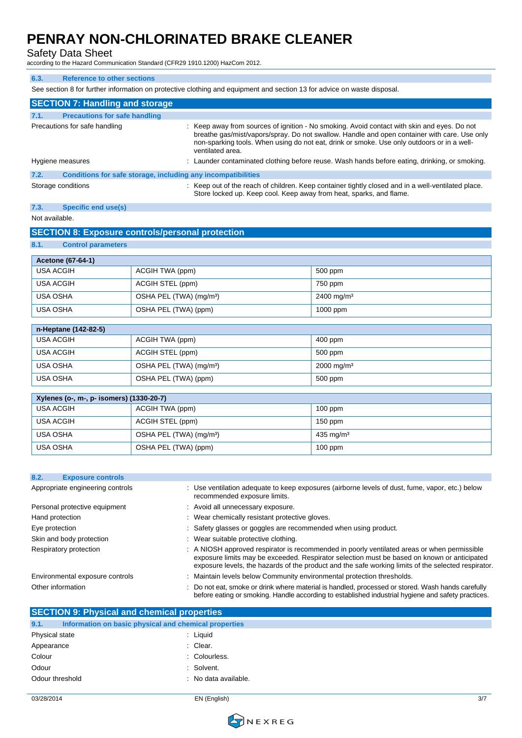### Safety Data Sheet

according to the Hazard Communication Standard (CFR29 1910.1200) HazCom 2012.

| 6.3. | <b>Reference to other sections</b>                           |                                                                                                                                                                                                                                                                                                             |
|------|--------------------------------------------------------------|-------------------------------------------------------------------------------------------------------------------------------------------------------------------------------------------------------------------------------------------------------------------------------------------------------------|
|      |                                                              | See section 8 for further information on protective clothing and equipment and section 13 for advice on waste disposal.                                                                                                                                                                                     |
|      | <b>SECTION 7: Handling and storage</b>                       |                                                                                                                                                                                                                                                                                                             |
| 7.1. | <b>Precautions for safe handling</b>                         |                                                                                                                                                                                                                                                                                                             |
|      | Precautions for safe handling                                | Keep away from sources of ignition - No smoking. Avoid contact with skin and eyes. Do not<br>breathe gas/mist/vapors/spray. Do not swallow. Handle and open container with care. Use only<br>non-sparking tools. When using do not eat, drink or smoke. Use only outdoors or in a well-<br>ventilated area. |
|      | Hygiene measures                                             | : Launder contaminated clothing before reuse. Wash hands before eating, drinking, or smoking.                                                                                                                                                                                                               |
| 7.2. | Conditions for safe storage, including any incompatibilities |                                                                                                                                                                                                                                                                                                             |
|      | Storage conditions                                           | Keep out of the reach of children. Keep container tightly closed and in a well-ventilated place.<br>Store locked up. Keep cool. Keep away from heat, sparks, and flame.                                                                                                                                     |

#### **7.3. Specific end use(s)**

#### Not available.

### **SECTION 8: Exposure controls/personal protection**

#### **8.1. Control parameters**

| Acetone (67-64-1) |                                     |                       |  |  |
|-------------------|-------------------------------------|-----------------------|--|--|
| USA ACGIH         | ACGIH TWA (ppm)                     | 500 ppm               |  |  |
| USA ACGIH         | ACGIH STEL (ppm)                    | 750 ppm               |  |  |
| USA OSHA          | OSHA PEL (TWA) (mg/m <sup>3</sup> ) | $2400 \text{ mg/m}^3$ |  |  |
| USA OSHA          | OSHA PEL (TWA) (ppm)                | $1000$ ppm            |  |  |

| n-Heptane (142-82-5) |                                     |                          |  |  |  |
|----------------------|-------------------------------------|--------------------------|--|--|--|
| USA ACGIH            | ACGIH TWA (ppm)                     | 400 ppm                  |  |  |  |
| USA ACGIH            | ACGIH STEL (ppm)                    | 500 ppm                  |  |  |  |
| USA OSHA             | OSHA PEL (TWA) (mg/m <sup>3</sup> ) | $2000 \,\mathrm{mg/m^3}$ |  |  |  |
| USA OSHA             | OSHA PEL (TWA) (ppm)                | 500 ppm                  |  |  |  |

| Xylenes (o-, m-, p- isomers) (1330-20-7) |                                     |                         |  |  |
|------------------------------------------|-------------------------------------|-------------------------|--|--|
| USA ACGIH                                | ACGIH TWA (ppm)                     | $100$ ppm               |  |  |
| USA ACGIH                                | ACGIH STEL (ppm)                    | $150$ ppm               |  |  |
| USA OSHA                                 | OSHA PEL (TWA) (mg/m <sup>3</sup> ) | $435 \,\mathrm{mq/m^3}$ |  |  |
| USA OSHA                                 | OSHA PEL (TWA) (ppm)                | $100$ ppm               |  |  |

| 8.2. | <b>Exposure controls</b>         |                                                                                                                                                                                                                                                                                                   |
|------|----------------------------------|---------------------------------------------------------------------------------------------------------------------------------------------------------------------------------------------------------------------------------------------------------------------------------------------------|
|      | Appropriate engineering controls | Use ventilation adequate to keep exposures (airborne levels of dust, fume, vapor, etc.) below<br>recommended exposure limits.                                                                                                                                                                     |
|      | Personal protective equipment    | : Avoid all unnecessary exposure.                                                                                                                                                                                                                                                                 |
|      | Hand protection                  | : Wear chemically resistant protective gloves.                                                                                                                                                                                                                                                    |
|      | Eye protection                   | : Safety glasses or goggles are recommended when using product.                                                                                                                                                                                                                                   |
|      | Skin and body protection         | : Wear suitable protective clothing.                                                                                                                                                                                                                                                              |
|      | Respiratory protection           | : A NIOSH approved respirator is recommended in poorly ventilated areas or when permissible<br>exposure limits may be exceeded. Respirator selection must be based on known or anticipated<br>exposure levels, the hazards of the product and the safe working limits of the selected respirator. |
|      | Environmental exposure controls  | Maintain levels below Community environmental protection thresholds.                                                                                                                                                                                                                              |
|      | Other information                | Do not eat, smoke or drink where material is handled, processed or stored. Wash hands carefully<br>before eating or smoking. Handle according to established industrial hygiene and safety practices.                                                                                             |

#### **SECTION 9: Physical and chemical properties**

| 9.1.            | Information on basic physical and chemical properties |                      |
|-----------------|-------------------------------------------------------|----------------------|
| Physical state  |                                                       | $:$ Liquid           |
| Appearance      |                                                       | : Clear.             |
| Colour          |                                                       | : Colourless.        |
| Odour           |                                                       | : Solvent.           |
| Odour threshold |                                                       | : No data available. |

03/28/2014 EN (English) 3/7

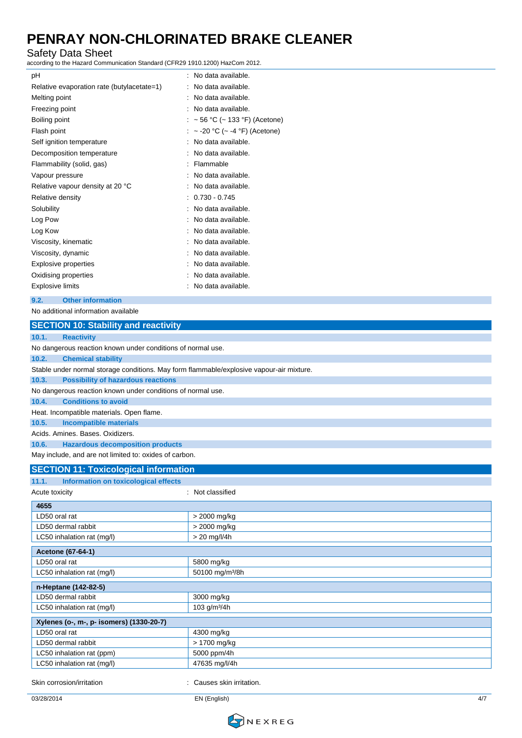### Safety Data Sheet

according to the Hazard Communication Standard (CFR29 1910.1200) HazCom 2012.

| pH                                         | No data available.                      |
|--------------------------------------------|-----------------------------------------|
|                                            |                                         |
| Relative evaporation rate (butylacetate=1) | No data available.                      |
| Melting point                              | No data available.                      |
| Freezing point                             | No data available.                      |
| Boiling point                              | $\sim$ 56 °C ( $\sim$ 133 °F) (Acetone) |
| Flash point                                | ~ -20 °C (~ -4 °F) (Acetone)            |
| Self ignition temperature                  | No data available.                      |
| Decomposition temperature                  | No data available.                      |
| Flammability (solid, gas)                  | Flammable                               |
| Vapour pressure                            | No data available.                      |
| Relative vapour density at 20 °C           | No data available.                      |
| Relative density                           | $0.730 - 0.745$                         |
| Solubility                                 | No data available.                      |
| Log Pow                                    | No data available.                      |
| Log Kow                                    | No data available.                      |
| Viscosity, kinematic                       | No data available.                      |
| Viscosity, dynamic                         | No data available.                      |
| <b>Explosive properties</b>                | No data available.                      |
| Oxidising properties                       | No data available.                      |
| Explosive limits                           | No data available.                      |

#### **9.2. Other information**

No additional information available

| <b>SECTION 10: Stability and reactivity</b>                                              |                             |  |
|------------------------------------------------------------------------------------------|-----------------------------|--|
| <b>Reactivity</b><br>10.1.                                                               |                             |  |
| No dangerous reaction known under conditions of normal use.                              |                             |  |
| <b>Chemical stability</b><br>10.2.                                                       |                             |  |
| Stable under normal storage conditions. May form flammable/explosive vapour-air mixture. |                             |  |
| 10.3.<br><b>Possibility of hazardous reactions</b>                                       |                             |  |
| No dangerous reaction known under conditions of normal use.                              |                             |  |
| <b>Conditions to avoid</b><br>10.4.                                                      |                             |  |
| Heat. Incompatible materials. Open flame.                                                |                             |  |
| <b>Incompatible materials</b><br>10.5.                                                   |                             |  |
| Acids, Amines, Bases, Oxidizers,                                                         |                             |  |
| <b>Hazardous decomposition products</b><br>10.6.                                         |                             |  |
| May include, and are not limited to: oxides of carbon.                                   |                             |  |
| <b>SECTION 11: Toxicological information</b>                                             |                             |  |
| Information on toxicological effects<br>11.1.                                            |                             |  |
| Acute toxicity                                                                           | Not classified              |  |
| 4655                                                                                     |                             |  |
| LD50 oral rat                                                                            | > 2000 mg/kg                |  |
| LD50 dermal rabbit                                                                       | > 2000 mg/kg                |  |
| LC50 inhalation rat (mg/l)                                                               | $> 20$ mg/l/4h              |  |
| <b>Acetone (67-64-1)</b>                                                                 |                             |  |
| LD50 oral rat                                                                            | 5800 mg/kg                  |  |
| LC50 inhalation rat (mg/l)                                                               | 50100 mg/m <sup>3</sup> /8h |  |
| n-Heptane (142-82-5)                                                                     |                             |  |
| LD50 dermal rabbit                                                                       | 3000 mg/kg                  |  |
| LC50 inhalation rat (mg/l)                                                               | 103 g/m <sup>3</sup> /4h    |  |
| Xylenes (o-, m-, p- isomers) (1330-20-7)                                                 |                             |  |
| LD50 oral rat                                                                            | 4300 mg/kg                  |  |
| LD50 dermal rabbit                                                                       | > 1700 mg/kg                |  |
| LC50 inhalation rat (ppm)                                                                | 5000 ppm/4h                 |  |
| LC50 inhalation rat (mg/l)                                                               | 47635 mg/l/4h               |  |
|                                                                                          |                             |  |

Skin corrosion/irritation **interval in the Causes** skin irritation.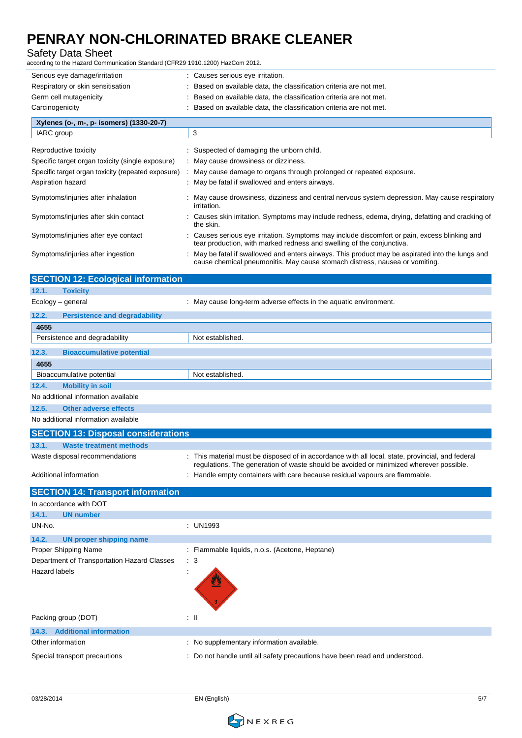### Safety Data Sheet

according to the Hazard Communication Standard (CFR29 1910.1200) HazCom 2012.

| Serious eye damage/irritation                      | : Causes serious eye irritation.                                                                                                                                              |
|----------------------------------------------------|-------------------------------------------------------------------------------------------------------------------------------------------------------------------------------|
| Respiratory or skin sensitisation                  | Based on available data, the classification criteria are not met.                                                                                                             |
| Germ cell mutagenicity                             | Based on available data, the classification criteria are not met.                                                                                                             |
| Carcinogenicity                                    | Based on available data, the classification criteria are not met.                                                                                                             |
| Xylenes (o-, m-, p- isomers) (1330-20-7)           |                                                                                                                                                                               |
| IARC group                                         | 3                                                                                                                                                                             |
| Reproductive toxicity                              | : Suspected of damaging the unborn child.                                                                                                                                     |
| Specific target organ toxicity (single exposure)   | : May cause drowsiness or dizziness.                                                                                                                                          |
| Specific target organ toxicity (repeated exposure) | : May cause damage to organs through prolonged or repeated exposure.                                                                                                          |
| Aspiration hazard                                  | : May be fatal if swallowed and enters airways.                                                                                                                               |
| Symptoms/injuries after inhalation                 | : May cause drowsiness, dizziness and central nervous system depression. May cause respiratory<br>irritation.                                                                 |
| Symptoms/injuries after skin contact               | : Causes skin irritation. Symptoms may include redness, edema, drying, defatting and cracking of<br>the skin.                                                                 |
| Symptoms/injuries after eye contact                | Causes serious eye irritation. Symptoms may include discomfort or pain, excess blinking and<br>tear production, with marked redness and swelling of the conjunctiva.          |
| Symptoms/injuries after ingestion                  | May be fatal if swallowed and enters airways. This product may be aspirated into the lungs and<br>cause chemical pneumonitis. May cause stomach distress, nausea or vomiting. |

| <b>SECTION 12: Ecological information</b>     |                                                                                                                                                                                          |
|-----------------------------------------------|------------------------------------------------------------------------------------------------------------------------------------------------------------------------------------------|
| 12.1.<br><b>Toxicity</b>                      |                                                                                                                                                                                          |
| Ecology - general                             | : May cause long-term adverse effects in the aquatic environment.                                                                                                                        |
| 12.2.<br><b>Persistence and degradability</b> |                                                                                                                                                                                          |
| 4655                                          |                                                                                                                                                                                          |
| Persistence and degradability                 | Not established.                                                                                                                                                                         |
| 12.3.<br><b>Bioaccumulative potential</b>     |                                                                                                                                                                                          |
| 4655                                          |                                                                                                                                                                                          |
| Bioaccumulative potential                     | Not established.                                                                                                                                                                         |
| 12.4.<br><b>Mobility in soil</b>              |                                                                                                                                                                                          |
| No additional information available           |                                                                                                                                                                                          |
| <b>Other adverse effects</b><br>12.5.         |                                                                                                                                                                                          |
| No additional information available           |                                                                                                                                                                                          |
| <b>SECTION 13: Disposal considerations</b>    |                                                                                                                                                                                          |
| <b>Waste treatment methods</b><br>13.1.       |                                                                                                                                                                                          |
| Waste disposal recommendations                | This material must be disposed of in accordance with all local, state, provincial, and federal<br>regulations. The generation of waste should be avoided or minimized wherever possible. |
| Additional information                        | Handle empty containers with care because residual vapours are flammable.                                                                                                                |
| <b>SECTION 14: Transport information</b>      |                                                                                                                                                                                          |
| In accordance with DOT                        |                                                                                                                                                                                          |
| 14.1.<br><b>UN number</b>                     |                                                                                                                                                                                          |
| UN-No.                                        | : UN1993                                                                                                                                                                                 |
| 14.2.<br><b>UN proper shipping name</b>       |                                                                                                                                                                                          |
| Proper Shipping Name                          | : Flammable liquids, n.o.s. (Acetone, Heptane)                                                                                                                                           |
| Department of Transportation Hazard Classes   | : 3                                                                                                                                                                                      |
| <b>Hazard labels</b>                          |                                                                                                                                                                                          |
| Packing group (DOT)                           | $\therefore$ $\parallel$                                                                                                                                                                 |

| 14.3. Additional information  |                                                                             |
|-------------------------------|-----------------------------------------------------------------------------|
| Other information             | No supplementary information available.                                     |
| Special transport precautions | : Do not handle until all safety precautions have been read and understood. |

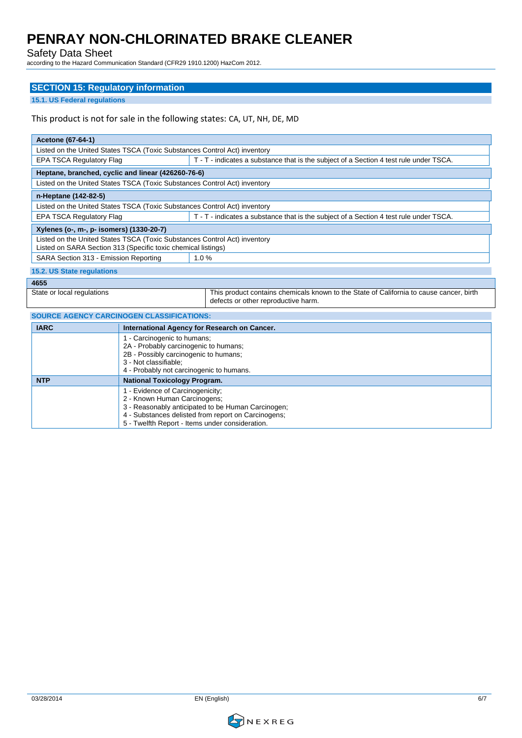Safety Data Sheet

according to the Hazard Communication Standard (CFR29 1910.1200) HazCom 2012.

### **SECTION 15: Regulatory information**

#### **15.1. US Federal regulations**

### This product is not for sale in the following states: CA, UT, NH, DE, MD

| <b>Acetone (67-64-1)</b>                                                                                                                   |                                                                                                                                                                                    |                                                                                                                                |
|--------------------------------------------------------------------------------------------------------------------------------------------|------------------------------------------------------------------------------------------------------------------------------------------------------------------------------------|--------------------------------------------------------------------------------------------------------------------------------|
|                                                                                                                                            |                                                                                                                                                                                    |                                                                                                                                |
| Listed on the United States TSCA (Toxic Substances Control Act) inventory                                                                  |                                                                                                                                                                                    |                                                                                                                                |
| <b>EPA TSCA Regulatory Flag</b>                                                                                                            |                                                                                                                                                                                    | T - T - indicates a substance that is the subject of a Section 4 test rule under TSCA.                                         |
| Heptane, branched, cyclic and linear (426260-76-6)                                                                                         |                                                                                                                                                                                    |                                                                                                                                |
| Listed on the United States TSCA (Toxic Substances Control Act) inventory                                                                  |                                                                                                                                                                                    |                                                                                                                                |
| n-Heptane (142-82-5)                                                                                                                       |                                                                                                                                                                                    |                                                                                                                                |
| Listed on the United States TSCA (Toxic Substances Control Act) inventory                                                                  |                                                                                                                                                                                    |                                                                                                                                |
| <b>EPA TSCA Regulatory Flag</b>                                                                                                            |                                                                                                                                                                                    | T - T - indicates a substance that is the subject of a Section 4 test rule under TSCA.                                         |
| Xylenes (o-, m-, p- isomers) (1330-20-7)                                                                                                   |                                                                                                                                                                                    |                                                                                                                                |
| Listed on the United States TSCA (Toxic Substances Control Act) inventory<br>Listed on SARA Section 313 (Specific toxic chemical listings) |                                                                                                                                                                                    |                                                                                                                                |
| 1.0%<br>SARA Section 313 - Emission Reporting                                                                                              |                                                                                                                                                                                    |                                                                                                                                |
| 15.2. US State regulations                                                                                                                 |                                                                                                                                                                                    |                                                                                                                                |
| 4655                                                                                                                                       |                                                                                                                                                                                    |                                                                                                                                |
| State or local regulations                                                                                                                 |                                                                                                                                                                                    | This product contains chemicals known to the State of California to cause cancer, birth<br>defects or other reproductive harm. |
| <b>SOURCE AGENCY CARCINOGEN CLASSIFICATIONS:</b>                                                                                           |                                                                                                                                                                                    |                                                                                                                                |
| <b>IARC</b>                                                                                                                                |                                                                                                                                                                                    | International Agency for Research on Cancer.                                                                                   |
|                                                                                                                                            | 1 - Carcinogenic to humans;<br>2A - Probably carcinogenic to humans;<br>2B - Possibly carcinogenic to humans;<br>3 - Not classifiable:<br>4 - Probably not carcinogenic to humans. |                                                                                                                                |
| <b>NTP</b>                                                                                                                                 | <b>National Toxicology Program.</b>                                                                                                                                                |                                                                                                                                |
|                                                                                                                                            | 1 - Evidence of Carcinogenicity;<br>2 - Known Human Carcinogens;<br>3 - Reasonably anticipated to be Human Carcinogen;                                                             |                                                                                                                                |

4 - Substances delisted from report on Carcinogens; 5 - Twelfth Report - Items under consideration.